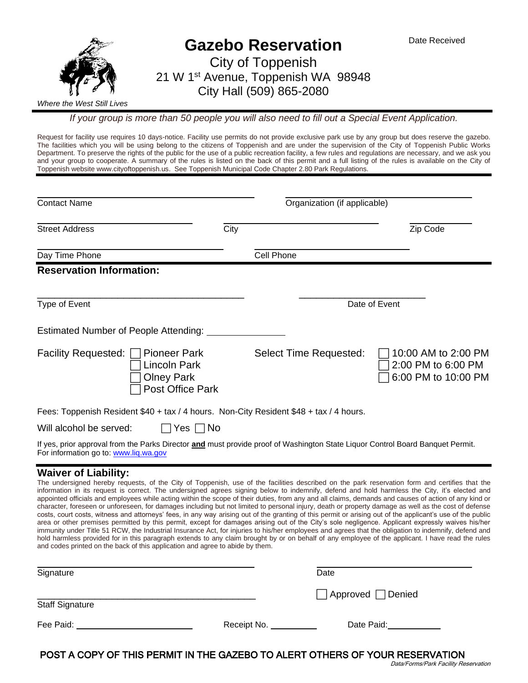

*If your group is more than 50 people you will also need to fill out a Special Event Application.*

Request for facility use requires 10 days-notice. Facility use permits do not provide exclusive park use by any group but does reserve the gazebo. The facilities which you will be using belong to the citizens of Toppenish and are under the supervision of the City of Toppenish Public Works Department. To preserve the rights of the public for the use of a public recreation facility, a few rules and regulations are necessary, and we ask you and your group to cooperate. A summary of the rules is listed on the back of this permit and a full listing of the rules is available on the City of Toppenish website www.cityoftoppenish.us. See Toppenish Municipal Code Chapter 2.80 Park Regulations.

| <b>Contact Name</b>                                                                                                                                                                                                                                                                                                          |      | Organization (if applicable) |                                                                  |
|------------------------------------------------------------------------------------------------------------------------------------------------------------------------------------------------------------------------------------------------------------------------------------------------------------------------------|------|------------------------------|------------------------------------------------------------------|
| <b>Street Address</b>                                                                                                                                                                                                                                                                                                        | City |                              | Zip Code                                                         |
| Day Time Phone                                                                                                                                                                                                                                                                                                               |      | Cell Phone                   |                                                                  |
| <b>Reservation Information:</b>                                                                                                                                                                                                                                                                                              |      |                              |                                                                  |
| Type of Event                                                                                                                                                                                                                                                                                                                |      |                              | Date of Event                                                    |
| Estimated Number of People Attending:                                                                                                                                                                                                                                                                                        |      |                              |                                                                  |
| Facility Requested:<br><b>Pioneer Park</b><br><b>Lincoln Park</b><br><b>Olney Park</b><br>Post Office Park                                                                                                                                                                                                                   |      | Select Time Requested:       | 10:00 AM to 2:00 PM<br>2:00 PM to 6:00 PM<br>6:00 PM to 10:00 PM |
| Fees: Toppenish Resident \$40 + tax / 4 hours. Non-City Resident \$48 + tax / 4 hours.                                                                                                                                                                                                                                       |      |                              |                                                                  |
| Will alcohol be served:<br>$\Box$ Yes $\Box$ No                                                                                                                                                                                                                                                                              |      |                              |                                                                  |
| If yes, prior approval from the Parks Director and must provide proof of Washington State Liquor Control Board Banquet Permit.<br>For information go to: www.liq.wa.gov                                                                                                                                                      |      |                              |                                                                  |
| <b>Waiver of Liability:</b><br>The undersigned hereby requests, of the City of Toppenish, use of the facilities described on the park reservation form and certifies that the<br>information in its request is correct. The undersigned sarses signing below to indomnify defend and beld bermless the City it's closted and |      |                              |                                                                  |

nin its request is correct. The undersigned agrees signing below to indemnify, defend and hold harmless the City, it's elect appointed officials and employees while acting within the scope of their duties, from any and all claims, demands and causes of action of any kind or character, foreseen or unforeseen, for damages including but not limited to personal injury, death or property damage as well as the cost of defense costs, court costs, witness and attorneys' fees, in any way arising out of the granting of this permit or arising out of the applicant's use of the public area or other premises permitted by this permit, except for damages arising out of the City's sole negligence. Applicant expressly waives his/her immunity under Title 51 RCW, the Industrial Insurance Act, for injuries to his/her employees and agrees that the obligation to indemnify, defend and hold harmless provided for in this paragraph extends to any claim brought by or on behalf of any employee of the applicant. I have read the rules and codes printed on the back of this application and agree to abide by them.

| Signature              |             | Date                          |
|------------------------|-------------|-------------------------------|
| <b>Staff Signature</b> |             | $\Box$ Approved $\Box$ Denied |
| Fee Paid:              | Receipt No. | Date Paid:                    |

POST A COPY OF THIS PERMIT IN THE GAZEBO TO ALERT OTHERS OF YOUR RESERVATION